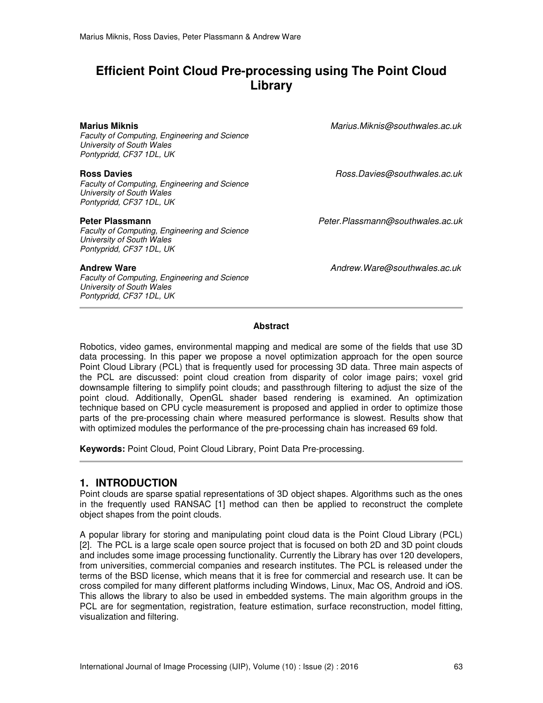# **Efficient Point Cloud Pre-processing using The Point Cloud Library**

*Faculty of Computing, Engineering and Science University of South Wales Pontypridd, CF37 1DL, UK* 

*Faculty of Computing, Engineering and Science University of South Wales Pontypridd, CF37 1DL, UK* 

*Faculty of Computing, Engineering and Science University of South Wales Pontypridd, CF37 1DL, UK* 

*Faculty of Computing, Engineering and Science University of South Wales Pontypridd, CF37 1DL, UK* 

**Marius Miknis** *Marius.Miknis@southwales.ac.uk*

**Ross Davies** *Ross.Davies@southwales.ac.uk*

**Peter Plassmann** *Peter.Plassmann@southwales.ac.uk*

**Andrew Ware** *Andrew.Ware@southwales.ac.uk*

#### **Abstract**

Robotics, video games, environmental mapping and medical are some of the fields that use 3D data processing. In this paper we propose a novel optimization approach for the open source Point Cloud Library (PCL) that is frequently used for processing 3D data. Three main aspects of the PCL are discussed: point cloud creation from disparity of color image pairs; voxel grid downsample filtering to simplify point clouds; and passthrough filtering to adjust the size of the point cloud. Additionally, OpenGL shader based rendering is examined. An optimization technique based on CPU cycle measurement is proposed and applied in order to optimize those parts of the pre-processing chain where measured performance is slowest. Results show that with optimized modules the performance of the pre-processing chain has increased 69 fold.

**Keywords:** Point Cloud, Point Cloud Library, Point Data Pre-processing.

### **1. INTRODUCTION**

Point clouds are sparse spatial representations of 3D object shapes. Algorithms such as the ones in the frequently used RANSAC [1] method can then be applied to reconstruct the complete object shapes from the point clouds.

A popular library for storing and manipulating point cloud data is the Point Cloud Library (PCL) [2]. The PCL is a large scale open source project that is focused on both 2D and 3D point clouds and includes some image processing functionality. Currently the Library has over 120 developers, from universities, commercial companies and research institutes. The PCL is released under the terms of the BSD license, which means that it is free for commercial and research use. It can be cross compiled for many different platforms including Windows, Linux, Mac OS, Android and iOS. This allows the library to also be used in embedded systems. The main algorithm groups in the PCL are for segmentation, registration, feature estimation, surface reconstruction, model fitting, visualization and filtering.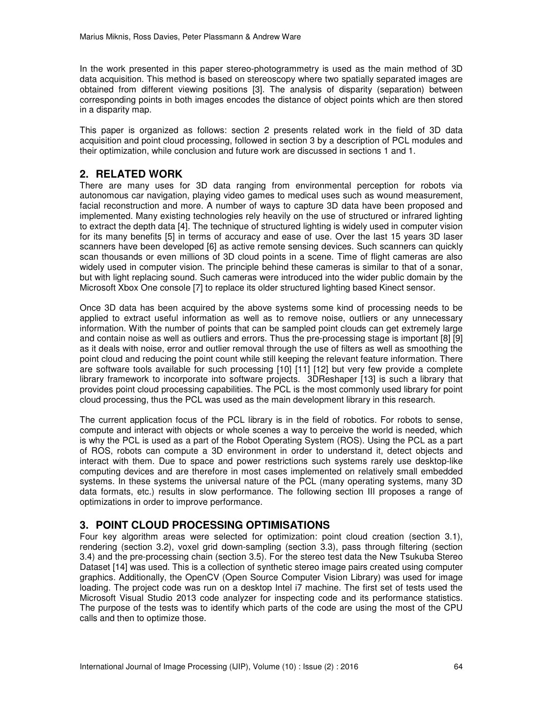In the work presented in this paper stereo-photogrammetry is used as the main method of 3D data acquisition. This method is based on stereoscopy where two spatially separated images are obtained from different viewing positions [3]. The analysis of disparity (separation) between corresponding points in both images encodes the distance of object points which are then stored in a disparity map.

This paper is organized as follows: section 2 presents related work in the field of 3D data acquisition and point cloud processing, followed in section 3 by a description of PCL modules and their optimization, while conclusion and future work are discussed in sections 1 and 1.

## **2. RELATED WORK**

There are many uses for 3D data ranging from environmental perception for robots via autonomous car navigation, playing video games to medical uses such as wound measurement, facial reconstruction and more. A number of ways to capture 3D data have been proposed and implemented. Many existing technologies rely heavily on the use of structured or infrared lighting to extract the depth data [4]. The technique of structured lighting is widely used in computer vision for its many benefits [5] in terms of accuracy and ease of use. Over the last 15 years 3D laser scanners have been developed [6] as active remote sensing devices. Such scanners can quickly scan thousands or even millions of 3D cloud points in a scene. Time of flight cameras are also widely used in computer vision. The principle behind these cameras is similar to that of a sonar, but with light replacing sound. Such cameras were introduced into the wider public domain by the Microsoft Xbox One console [7] to replace its older structured lighting based Kinect sensor.

Once 3D data has been acquired by the above systems some kind of processing needs to be applied to extract useful information as well as to remove noise, outliers or any unnecessary information. With the number of points that can be sampled point clouds can get extremely large and contain noise as well as outliers and errors. Thus the pre-processing stage is important [8] [9] as it deals with noise, error and outlier removal through the use of filters as well as smoothing the point cloud and reducing the point count while still keeping the relevant feature information. There are software tools available for such processing [10] [11] [12] but very few provide a complete library framework to incorporate into software projects. 3DReshaper [13] is such a library that provides point cloud processing capabilities. The PCL is the most commonly used library for point cloud processing, thus the PCL was used as the main development library in this research.

The current application focus of the PCL library is in the field of robotics. For robots to sense, compute and interact with objects or whole scenes a way to perceive the world is needed, which is why the PCL is used as a part of the Robot Operating System (ROS). Using the PCL as a part of ROS, robots can compute a 3D environment in order to understand it, detect objects and interact with them. Due to space and power restrictions such systems rarely use desktop-like computing devices and are therefore in most cases implemented on relatively small embedded systems. In these systems the universal nature of the PCL (many operating systems, many 3D data formats, etc.) results in slow performance. The following section III proposes a range of optimizations in order to improve performance.

## **3. POINT CLOUD PROCESSING OPTIMISATIONS**

Four key algorithm areas were selected for optimization: point cloud creation (section 3.1), rendering (section 3.2), voxel grid down-sampling (section 3.3), pass through filtering (section 3.4) and the pre-processing chain (section 3.5). For the stereo test data the New Tsukuba Stereo Dataset [14] was used. This is a collection of synthetic stereo image pairs created using computer graphics. Additionally, the OpenCV (Open Source Computer Vision Library) was used for image loading. The project code was run on a desktop Intel i7 machine. The first set of tests used the Microsoft Visual Studio 2013 code analyzer for inspecting code and its performance statistics. The purpose of the tests was to identify which parts of the code are using the most of the CPU calls and then to optimize those.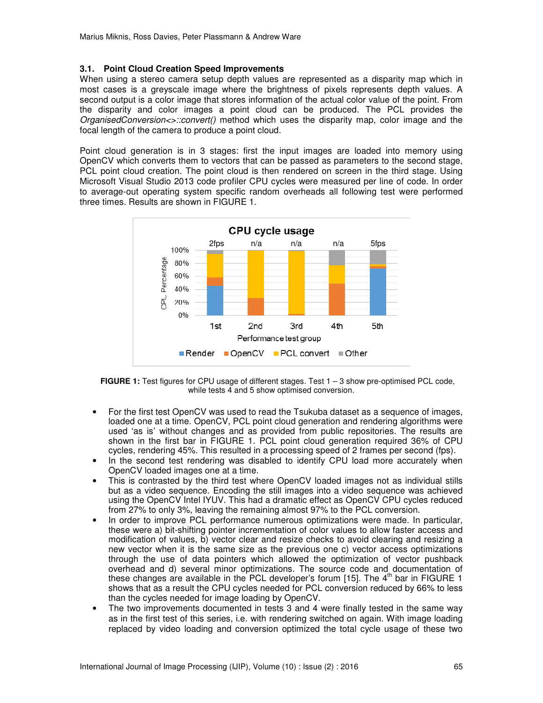### **3.1. Point Cloud Creation Speed Improvements**

When using a stereo camera setup depth values are represented as a disparity map which in most cases is a greyscale image where the brightness of pixels represents depth values. A second output is a color image that stores information of the actual color value of the point. From the disparity and color images a point cloud can be produced. The PCL provides the *OrganisedConversion<>::convert()* method which uses the disparity map, color image and the focal length of the camera to produce a point cloud.

Point cloud generation is in 3 stages: first the input images are loaded into memory using OpenCV which converts them to vectors that can be passed as parameters to the second stage, PCL point cloud creation. The point cloud is then rendered on screen in the third stage. Using Microsoft Visual Studio 2013 code profiler CPU cycles were measured per line of code. In order to average-out operating system specific random overheads all following test were performed three times. Results are shown in FIGURE 1.



**FIGURE 1:** Test figures for CPU usage of different stages. Test 1 – 3 show pre-optimised PCL code, while tests 4 and 5 show optimised conversion.

- For the first test OpenCV was used to read the Tsukuba dataset as a sequence of images, loaded one at a time. OpenCV, PCL point cloud generation and rendering algorithms were used 'as is' without changes and as provided from public repositories. The results are shown in the first bar in FIGURE 1. PCL point cloud generation required 36% of CPU cycles, rendering 45%. This resulted in a processing speed of 2 frames per second (fps).
- In the second test rendering was disabled to identify CPU load more accurately when OpenCV loaded images one at a time.
- This is contrasted by the third test where OpenCV loaded images not as individual stills but as a video sequence. Encoding the still images into a video sequence was achieved using the OpenCV Intel IYUV. This had a dramatic effect as OpenCV CPU cycles reduced from 27% to only 3%, leaving the remaining almost 97% to the PCL conversion.
- In order to improve PCL performance numerous optimizations were made. In particular, these were a) bit-shifting pointer incrementation of color values to allow faster access and modification of values, b) vector clear and resize checks to avoid clearing and resizing a new vector when it is the same size as the previous one c) vector access optimizations through the use of data pointers which allowed the optimization of vector pushback overhead and d) several minor optimizations. The source code and documentation of these changes are available in the PCL developer's forum [15]. The  $4<sup>th</sup>$  bar in FIGURE 1 shows that as a result the CPU cycles needed for PCL conversion reduced by 66% to less than the cycles needed for image loading by OpenCV.
- The two improvements documented in tests 3 and 4 were finally tested in the same way as in the first test of this series, i.e. with rendering switched on again. With image loading replaced by video loading and conversion optimized the total cycle usage of these two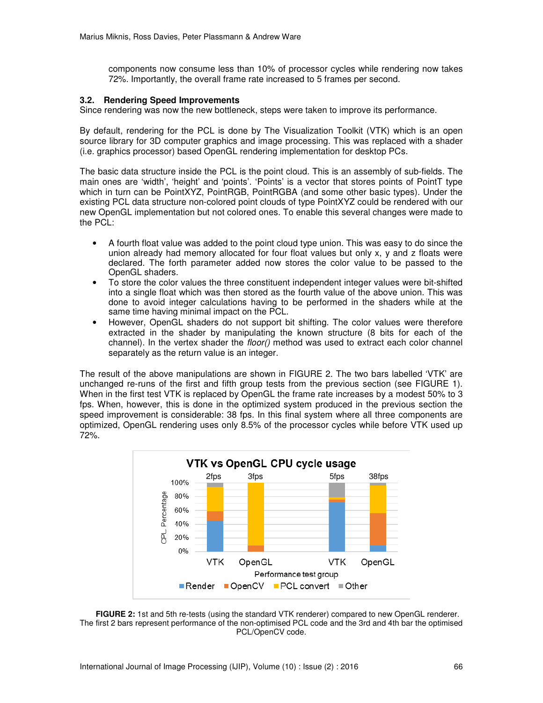components now consume less than 10% of processor cycles while rendering now takes 72%. Importantly, the overall frame rate increased to 5 frames per second.

#### **3.2. Rendering Speed Improvements**

Since rendering was now the new bottleneck, steps were taken to improve its performance.

By default, rendering for the PCL is done by The Visualization Toolkit (VTK) which is an open source library for 3D computer graphics and image processing. This was replaced with a shader (i.e. graphics processor) based OpenGL rendering implementation for desktop PCs.

The basic data structure inside the PCL is the point cloud. This is an assembly of sub-fields. The main ones are 'width', 'height' and 'points'. 'Points' is a vector that stores points of PointT type which in turn can be PointXYZ, PointRGB, PointRGBA (and some other basic types). Under the existing PCL data structure non-colored point clouds of type PointXYZ could be rendered with our new OpenGL implementation but not colored ones. To enable this several changes were made to the PCL:

- A fourth float value was added to the point cloud type union. This was easy to do since the union already had memory allocated for four float values but only x, y and z floats were declared. The forth parameter added now stores the color value to be passed to the OpenGL shaders.
- To store the color values the three constituent independent integer values were bit-shifted into a single float which was then stored as the fourth value of the above union. This was done to avoid integer calculations having to be performed in the shaders while at the same time having minimal impact on the PCL.
- However, OpenGL shaders do not support bit shifting. The color values were therefore extracted in the shader by manipulating the known structure (8 bits for each of the channel). In the vertex shader the *floor()* method was used to extract each color channel separately as the return value is an integer.

The result of the above manipulations are shown in FIGURE 2. The two bars labelled 'VTK' are unchanged re-runs of the first and fifth group tests from the previous section (see FIGURE 1). When in the first test VTK is replaced by OpenGL the frame rate increases by a modest 50% to 3 fps. When, however, this is done in the optimized system produced in the previous section the speed improvement is considerable: 38 fps. In this final system where all three components are optimized, OpenGL rendering uses only 8.5% of the processor cycles while before VTK used up 72%.



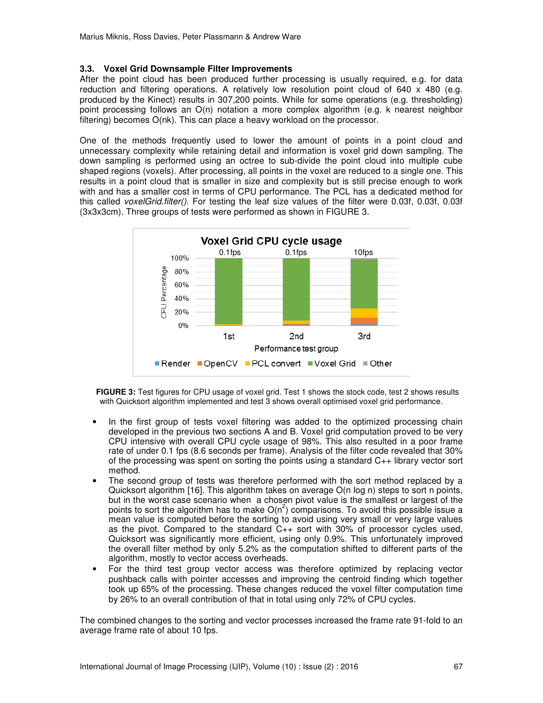### **3.3. Voxel Grid Downsample Filter Improvements**

After the point cloud has been produced further processing is usually required, e.g. for data reduction and filtering operations. A relatively low resolution point cloud of 640 x 480 (e.g. produced by the Kinect) results in 307,200 points. While for some operations (e.g. thresholding) point processing follows an O(n) notation a more complex algorithm (e.g. k nearest neighbor filtering) becomes O(nk). This can place a heavy workload on the processor.

One of the methods frequently used to lower the amount of points in a point cloud and unnecessary complexity while retaining detail and information is voxel grid down sampling. The down sampling is performed using an octree to sub-divide the point cloud into multiple cube shaped regions (voxels). After processing, all points in the voxel are reduced to a single one. This results in a point cloud that is smaller in size and complexity but is still precise enough to work with and has a smaller cost in terms of CPU performance. The PCL has a dedicated method for this called *voxelGrid.filter()*. For testing the leaf size values of the filter were 0.03f, 0.03f, 0.03f (3x3x3cm). Three groups of tests were performed as shown in FIGURE 3.



**FIGURE 3:** Test figures for CPU usage of voxel grid. Test 1 shows the stock code, test 2 shows results with Quicksort algorithm implemented and test 3 shows overall optimised voxel grid performance.

- In the first group of tests voxel filtering was added to the optimized processing chain developed in the previous two sections A and B. Voxel grid computation proved to be very CPU intensive with overall CPU cycle usage of 98%. This also resulted in a poor frame rate of under 0.1 fps (8.6 seconds per frame). Analysis of the filter code revealed that 30% of the processing was spent on sorting the points using a standard C++ library vector sort method.
- The second group of tests was therefore performed with the sort method replaced by a Quicksort algorithm [16]. This algorithm takes on average O(n log n) steps to sort n points, but in the worst case scenario when a chosen pivot value is the smallest or largest of the points to sort the algorithm has to make  $O(n^2)$  comparisons. To avoid this possible issue a mean value is computed before the sorting to avoid using very small or very large values as the pivot. Compared to the standard  $C_{++}$  sort with 30% of processor cycles used, Quicksort was significantly more efficient, using only 0.9%. This unfortunately improved the overall filter method by only 5.2% as the computation shifted to different parts of the algorithm, mostly to vector access overheads.
- For the third test group vector access was therefore optimized by replacing vector pushback calls with pointer accesses and improving the centroid finding which together took up 65% of the processing. These changes reduced the voxel filter computation time by 26% to an overall contribution of that in total using only 72% of CPU cycles.

The combined changes to the sorting and vector processes increased the frame rate 91-fold to an average frame rate of about 10 fps.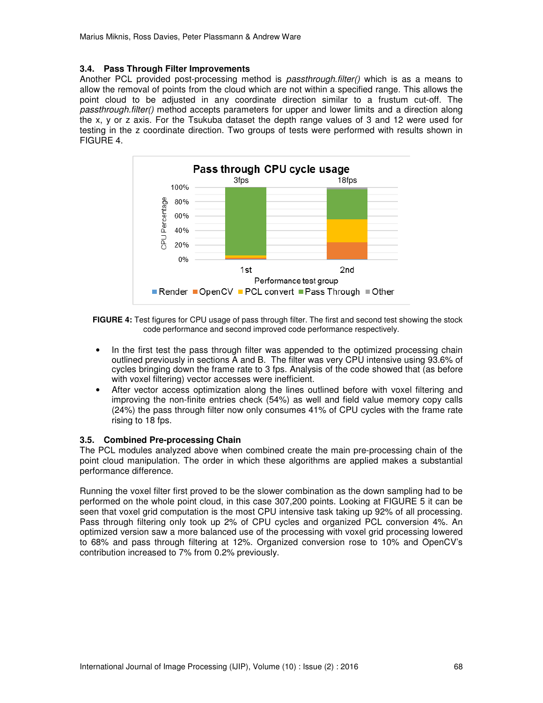### **3.4. Pass Through Filter Improvements**

Another PCL provided post-processing method is *passthrough.filter()* which is as a means to allow the removal of points from the cloud which are not within a specified range. This allows the point cloud to be adjusted in any coordinate direction similar to a frustum cut-off. The *passthrough.filter()* method accepts parameters for upper and lower limits and a direction along the x, y or z axis. For the Tsukuba dataset the depth range values of 3 and 12 were used for testing in the z coordinate direction. Two groups of tests were performed with results shown in FIGURE 4.



**FIGURE 4:** Test figures for CPU usage of pass through filter. The first and second test showing the stock code performance and second improved code performance respectively.

- In the first test the pass through filter was appended to the optimized processing chain outlined previously in sections A and B. The filter was very CPU intensive using 93.6% of cycles bringing down the frame rate to 3 fps. Analysis of the code showed that (as before with voxel filtering) vector accesses were inefficient.
- After vector access optimization along the lines outlined before with voxel filtering and improving the non-finite entries check (54%) as well and field value memory copy calls (24%) the pass through filter now only consumes 41% of CPU cycles with the frame rate rising to 18 fps.

#### **3.5. Combined Pre-processing Chain**

The PCL modules analyzed above when combined create the main pre-processing chain of the point cloud manipulation. The order in which these algorithms are applied makes a substantial performance difference.

Running the voxel filter first proved to be the slower combination as the down sampling had to be performed on the whole point cloud, in this case 307,200 points. Looking at FIGURE 5 it can be seen that voxel grid computation is the most CPU intensive task taking up 92% of all processing. Pass through filtering only took up 2% of CPU cycles and organized PCL conversion 4%. An optimized version saw a more balanced use of the processing with voxel grid processing lowered to 68% and pass through filtering at 12%. Organized conversion rose to 10% and OpenCV's contribution increased to 7% from 0.2% previously.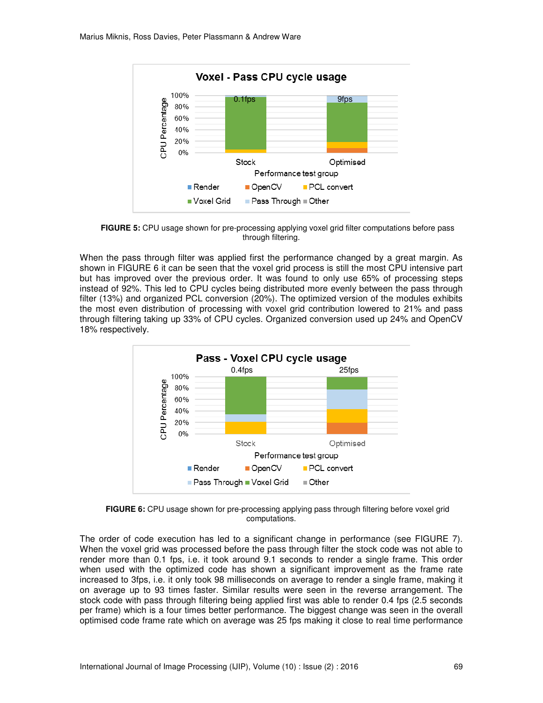

**FIGURE 5:** CPU usage shown for pre-processing applying voxel grid filter computations before pass through filtering.

When the pass through filter was applied first the performance changed by a great margin. As shown in FIGURE 6 it can be seen that the voxel grid process is still the most CPU intensive part but has improved over the previous order. It was found to only use 65% of processing steps instead of 92%. This led to CPU cycles being distributed more evenly between the pass through filter (13%) and organized PCL conversion (20%). The optimized version of the modules exhibits the most even distribution of processing with voxel grid contribution lowered to 21% and pass through filtering taking up 33% of CPU cycles. Organized conversion used up 24% and OpenCV 18% respectively.



**FIGURE 6:** CPU usage shown for pre-processing applying pass through filtering before voxel grid computations.

The order of code execution has led to a significant change in performance (see FIGURE 7). When the voxel grid was processed before the pass through filter the stock code was not able to render more than 0.1 fps, i.e. it took around 9.1 seconds to render a single frame. This order when used with the optimized code has shown a significant improvement as the frame rate increased to 3fps, i.e. it only took 98 milliseconds on average to render a single frame, making it on average up to 93 times faster. Similar results were seen in the reverse arrangement. The stock code with pass through filtering being applied first was able to render 0.4 fps (2.5 seconds per frame) which is a four times better performance. The biggest change was seen in the overall optimised code frame rate which on average was 25 fps making it close to real time performance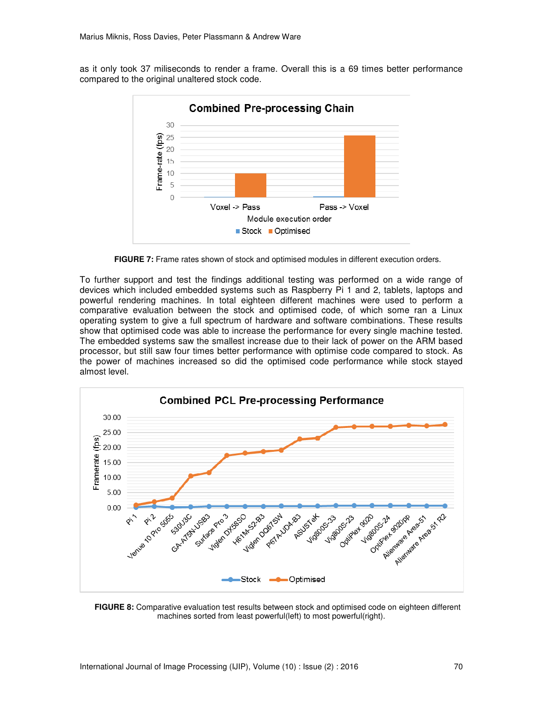as it only took 37 miliseconds to render a frame. Overall this is a 69 times better performance compared to the original unaltered stock code.



**FIGURE 7:** Frame rates shown of stock and optimised modules in different execution orders.

To further support and test the findings additional testing was performed on a wide range of devices which included embedded systems such as Raspberry Pi 1 and 2, tablets, laptops and powerful rendering machines. In total eighteen different machines were used to perform a comparative evaluation between the stock and optimised code, of which some ran a Linux operating system to give a full spectrum of hardware and software combinations. These results show that optimised code was able to increase the performance for every single machine tested. The embedded systems saw the smallest increase due to their lack of power on the ARM based processor, but still saw four times better performance with optimise code compared to stock. As the power of machines increased so did the optimised code performance while stock stayed almost level.



**FIGURE 8:** Comparative evaluation test results between stock and optimised code on eighteen different machines sorted from least powerful(left) to most powerful(right).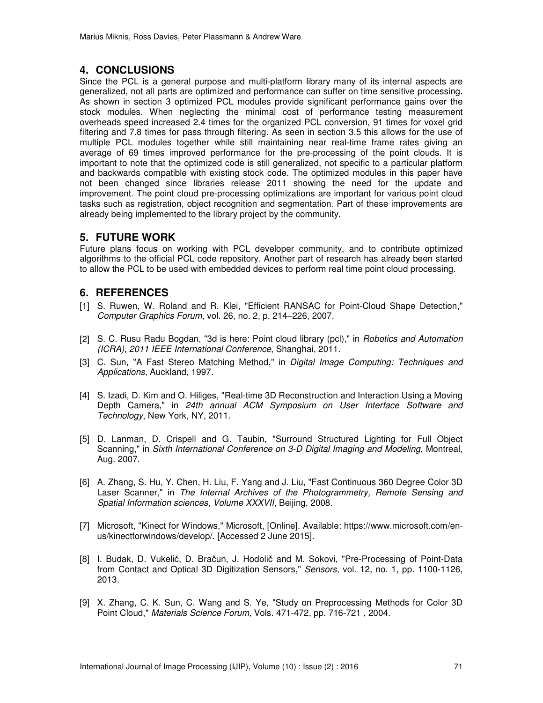## **4. CONCLUSIONS**

Since the PCL is a general purpose and multi-platform library many of its internal aspects are generalized, not all parts are optimized and performance can suffer on time sensitive processing. As shown in section 3 optimized PCL modules provide significant performance gains over the stock modules. When neglecting the minimal cost of performance testing measurement overheads speed increased 2.4 times for the organized PCL conversion, 91 times for voxel grid filtering and 7.8 times for pass through filtering. As seen in section 3.5 this allows for the use of multiple PCL modules together while still maintaining near real-time frame rates giving an average of 69 times improved performance for the pre-processing of the point clouds. It is important to note that the optimized code is still generalized, not specific to a particular platform and backwards compatible with existing stock code. The optimized modules in this paper have not been changed since libraries release 2011 showing the need for the update and improvement. The point cloud pre-processing optimizations are important for various point cloud tasks such as registration, object recognition and segmentation. Part of these improvements are already being implemented to the library project by the community.

## **5. FUTURE WORK**

Future plans focus on working with PCL developer community, and to contribute optimized algorithms to the official PCL code repository. Another part of research has already been started to allow the PCL to be used with embedded devices to perform real time point cloud processing.

## **6. REFERENCES**

- [1] S. Ruwen, W. Roland and R. Klei, "Efficient RANSAC for Point-Cloud Shape Detection," *Computer Graphics Forum,* vol. 26, no. 2, p. 214–226, 2007.
- [2] S. C. Rusu Radu Bogdan, "3d is here: Point cloud library (pcl)," in *Robotics and Automation (ICRA), 2011 IEEE International Conference*, Shanghai, 2011.
- [3] C. Sun, "A Fast Stereo Matching Method," in *Digital Image Computing: Techniques and Applications*, Auckland, 1997.
- [4] S. Izadi, D. Kim and O. Hiliges, "Real-time 3D Reconstruction and Interaction Using a Moving Depth Camera," in *24th annual ACM Symposium on User Interface Software and Technology*, New York, NY, 2011.
- [5] D. Lanman, D. Crispell and G. Taubin, "Surround Structured Lighting for Full Object Scanning," in *Sixth International Conference on 3-D Digital Imaging and Modeling*, Montreal, Aug. 2007.
- [6] A. Zhang, S. Hu, Y. Chen, H. Liu, F. Yang and J. Liu, "Fast Continuous 360 Degree Color 3D Laser Scanner," in *The Internal Archives of the Photogrammetry, Remote Sensing and Spatial Information sciences, Volume XXXVII*, Beijing, 2008.
- [7] Microsoft, "Kinect for Windows," Microsoft, [Online]. Available: https://www.microsoft.com/enus/kinectforwindows/develop/. [Accessed 2 June 2015].
- [8] I. Budak, D. Vukelić, D. Bračun, J. Hodolič and M. Sokovi, "Pre-Processing of Point-Data from Contact and Optical 3D Digitization Sensors," *Sensors,* vol. 12, no. 1, pp. 1100-1126, 2013.
- [9] X. Zhang, C. K. Sun, C. Wang and S. Ye, "Study on Preprocessing Methods for Color 3D Point Cloud," *Materials Science Forum,* Vols. 471-472, pp. 716-721 , 2004.